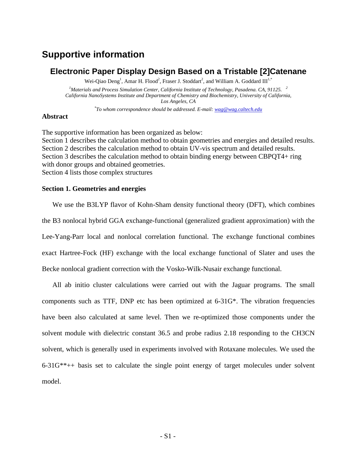## **Supportive information**

### **Electronic Paper Display Design Based on a Tristable [2]Catenane**

Wei-Qiao Deng<sup>1</sup>, Amar H. Flood<sup>2</sup>, Fraser J. Stoddart<sup>2</sup>, and William A. Goddard III<sup>1,\*</sup>

*<sup>1</sup>Materials and Process Simulation Center, California Institute of Technology, Pasadena. CA, 91125. <sup>2</sup> California NanoSystems Institute and Department of Chemistry and Biochemistry, University of California, Los Angeles, CA*

*\* To whom correspondence should be addressed. E-mail: wag@wag.caltech.edu*

#### **Abstract**

The supportive information has been organized as below: Section 1 describes the calculation method to obtain geometries and energies and detailed results. Section 2 describes the calculation method to obtain UV-vis spectrum and detailed results. Section 3 describes the calculation method to obtain binding energy between CBPQT4+ ring with donor groups and obtained geometries. Section 4 lists those complex structures

#### **Section 1. Geometries and energies**

We use the B3LYP flavor of Kohn-Sham density functional theory (DFT), which combines the B3 nonlocal hybrid GGA exchange-functional (generalized gradient approximation) with the Lee-Yang-Parr local and nonlocal correlation functional. The exchange functional combines exact Hartree-Fock (HF) exchange with the local exchange functional of Slater and uses the Becke nonlocal gradient correction with the Vosko-Wilk-Nusair exchange functional.

All ab initio cluster calculations were carried out with the Jaguar programs. The small components such as TTF, DNP etc has been optimized at 6-31G\*. The vibration frequencies have been also calculated at same level. Then we re-optimized those components under the solvent module with dielectric constant 36.5 and probe radius 2.18 responding to the CH3CN solvent, which is generally used in experiments involved with Rotaxane molecules. We used the 6-31G\*\*++ basis set to calculate the single point energy of target molecules under solvent model.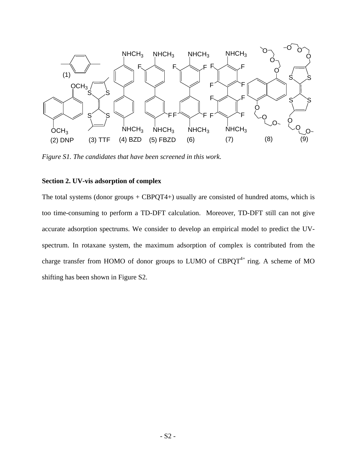

*Figure S1. The candidates that have been screened in this work.*

#### **Section 2. UV-vis adsorption of complex**

The total systems (donor groups  $+$  CBPQT4+) usually are consisted of hundred atoms, which is too time-consuming to perform a TD-DFT calculation. Moreover, TD-DFT still can not give accurate adsorption spectrums. We consider to develop an empirical model to predict the UVspectrum. In rotaxane system, the maximum adsorption of complex is contributed from the charge transfer from HOMO of donor groups to LUMO of  $CBPQT<sup>4+</sup>$  ring. A scheme of MO shifting has been shown in Figure S2.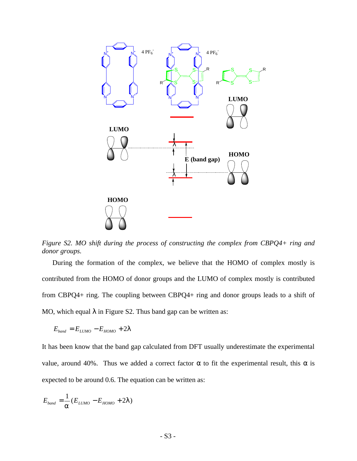

*Figure S2. MO shift during the process of constructing the complex from CBPQ4+ ring and donor groups.*

During the formation of the complex, we believe that the HOMO of complex mostly is contributed from the HOMO of donor groups and the LUMO of complex mostly is contributed from CBPQ4+ ring. The coupling between CBPQ4+ ring and donor groups leads to a shift of MO, which equal  $\lambda$  in Figure S2. Thus band gap can be written as:

$$
E_{band} = E_{LUMO} - E_{HOMO} + 2I
$$

It has been know that the band gap calculated from DFT usually underestimate the experimental value, around 40%. Thus we added a correct factor  $\alpha$  to fit the experimental result, this  $\alpha$  is expected to be around 0.6. The equation can be written as:

$$
E_{band} = \frac{1}{a} (E_{LUMO} - E_{HOMO} + 2I)
$$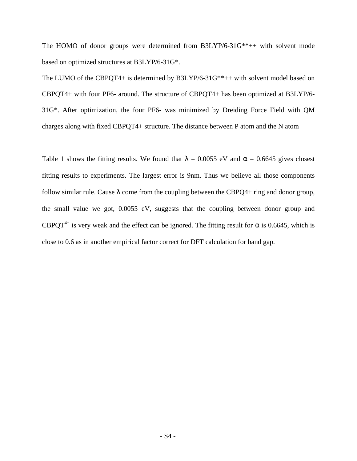The HOMO of donor groups were determined from B3LYP/6-31G<sup>\*\*++</sup> with solvent mode based on optimized structures at B3LYP/6-31G\*.

The LUMO of the CBPQT4+ is determined by B3LYP/6-31G<sup>\*\*</sup>++ with solvent model based on CBPQT4+ with four PF6- around. The structure of CBPQT4+ has been optimized at B3LYP/6- 31G\*. After optimization, the four PF6- was minimized by Dreiding Force Field with QM charges along with fixed CBPQT4+ structure. The distance between P atom and the N atom

Table 1 shows the fitting results. We found that  $\lambda = 0.0055$  eV and  $\alpha = 0.6645$  gives closest fitting results to experiments. The largest error is 9nm. Thus we believe all those components follow similar rule. Cause  $\lambda$  come from the coupling between the CBPQ4+ ring and donor group, the small value we got, 0.0055 eV, suggests that the coupling between donor group and CBPOT<sup>4+</sup> is very weak and the effect can be ignored. The fitting result for  $\alpha$  is 0.6645, which is close to 0.6 as in another empirical factor correct for DFT calculation for band gap.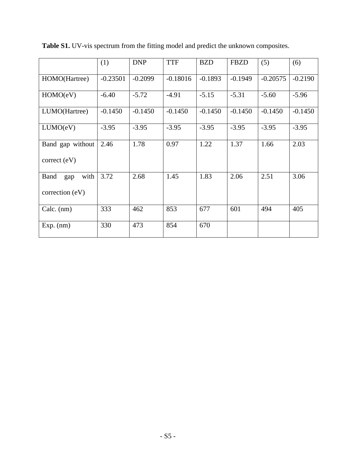|                     | (1)        | <b>DNP</b> | <b>TTF</b> | <b>BZD</b> | <b>FBZD</b> | (5)        | (6)       |
|---------------------|------------|------------|------------|------------|-------------|------------|-----------|
| HOMO(Hartree)       | $-0.23501$ | $-0.2099$  | $-0.18016$ | $-0.1893$  | $-0.1949$   | $-0.20575$ | $-0.2190$ |
| HOMO(eV)            | $-6.40$    | $-5.72$    | $-4.91$    | $-5.15$    | $-5.31$     | $-5.60$    | $-5.96$   |
| LUMO(Hartree)       | $-0.1450$  | $-0.1450$  | $-0.1450$  | $-0.1450$  | $-0.1450$   | $-0.1450$  | $-0.1450$ |
| LUMO(eV)            | $-3.95$    | $-3.95$    | $-3.95$    | $-3.95$    | $-3.95$     | $-3.95$    | $-3.95$   |
| Band gap without    | 2.46       | 1.78       | 0.97       | 1.22       | 1.37        | 1.66       | 2.03      |
| correct(eV)         |            |            |            |            |             |            |           |
| with<br>Band<br>gap | 3.72       | 2.68       | 1.45       | 1.83       | 2.06        | 2.51       | 3.06      |
| correction (eV)     |            |            |            |            |             |            |           |
| $Calc.$ (nm)        | 333        | 462        | 853        | 677        | 601         | 494        | 405       |
| $Exp.$ (nm)         | 330        | 473        | 854        | 670        |             |            |           |

**Table S1.** UV-vis spectrum from the fitting model and predict the unknown composites.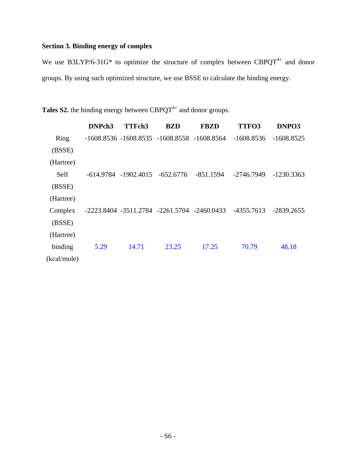#### **Section 3. Binding energy of complex**

We use B3LYP/6-31G\* to optimize the structure of complex between  $CBPQT^{4+}$  and donor groups. By using such optimized structure, we use BSSE to calculate the binding energy.

**DNPch3 TTFch3 BZD FBZD TTFO3 DNPO3** Ring (BSSE) (Hartree) -1608.8536 -1608.8535 -1608.8558 -1608.8564 -1608.8536 -1608.8525 Self (BSSE) (Hartree) -614.9784 -1902.4015 -652.6776 -851.1594 -2746.7949 -1230.3363 Complex (BSSE) (Hartree) -2223.8404 -3511.2784 -2261.5704 -2460.0433 -4355.7613 -2839.2655 binding (kcal/mole) 5.29 14.71 23.25 17.25 70.79 48.18

**Tales S2.** the binding energy between  $CBPQT<sup>4+</sup>$  and donor groups.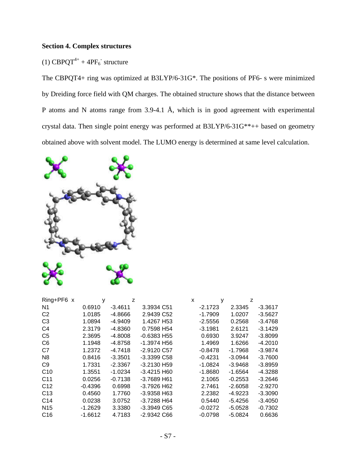### **Section 4. Complex structures**

### (1) CBPQT<sup>4+</sup> + 4PF<sub>6</sub><sup>-</sup> structure

The CBPQT4+ ring was optimized at B3LYP/6-31G\*. The positions of PF6- s were minimized by Dreiding force field with QM charges. The obtained structure shows that the distance between P atoms and N atoms range from 3.9-4.1 Å, which is in good agreement with experimental crystal data. Then single point energy was performed at B3LYP/6-31G\*\*++ based on geometry obtained above with solvent model. The LUMO energy is determined at same level calculation.



| Ring+PF6 x      | ν         | z         |                           | X | ٧         | z         |           |
|-----------------|-----------|-----------|---------------------------|---|-----------|-----------|-----------|
| N1              | 0.6910    | $-3.4611$ | 3.3934 C51                |   | $-2.1723$ | 2.3345    | $-3.3617$ |
| C <sub>2</sub>  | 1.0185    | $-4.8666$ | 2.9439 C52                |   | $-1.7909$ | 1.0207    | $-3.5627$ |
| C <sub>3</sub>  | 1.0894    | -4.9409   | 1.4267 H53                |   | $-2.5556$ | 0.2568    | $-3.4768$ |
| C4              | 2.3179    | $-4.8360$ | 0.7598 H54                |   | $-3.1981$ | 2.6121    | $-3.1429$ |
| C <sub>5</sub>  | 2.3695    | $-4.8008$ | $-0.6383$ H <sub>55</sub> |   | 0.6930    | 3.9247    | $-3.8099$ |
| C <sub>6</sub>  | 1.1948    | -4.8758   | $-1.3974$ H <sub>56</sub> |   | 1.4969    | 1.6266    | $-4.2010$ |
| C7              | 1.2372    | -4.7418   | -2.9120 C57               |   | $-0.8478$ | $-1.7968$ | $-3.9874$ |
| N <sub>8</sub>  | 0.8416    | $-3.3501$ | -3.3399 C58               |   | $-0.4231$ | $-3.0944$ | $-3.7600$ |
| C <sub>9</sub>  | 1.7331    | $-2.3367$ | $-3.2130$ H <sub>59</sub> |   | $-1.0824$ | $-3.9468$ | $-3.8959$ |
| C <sub>10</sub> | 1.3551    | $-1.0234$ | $-3.4215$ H60             |   | $-1.8680$ | $-1.6564$ | $-4.3288$ |
| C <sub>11</sub> | 0.0256    | $-0.7138$ | $-3.7689$ H61             |   | 2.1065    | $-0.2553$ | $-3.2646$ |
| C <sub>12</sub> | $-0.4396$ | 0.6998    | -3.7926 H62               |   | 2.7461    | $-2.6058$ | $-2.9270$ |
| C <sub>13</sub> | 0.4560    | 1.7760    | $-3.9358$ H63             |   | 2.2382    | $-4.9223$ | $-3.3090$ |
| C <sub>14</sub> | 0.0238    | 3.0752    | $-3.7288$ H64             |   | 0.5440    | $-5.4256$ | $-3.4050$ |
| N <sub>15</sub> | $-1.2629$ | 3.3380    | -3.3949 C65               |   | $-0.0272$ | $-5.0528$ | $-0.7302$ |
| C <sub>16</sub> | $-1.6612$ | 4.7183    | -2.9342 C66               |   | $-0.0798$ | $-5.0824$ | 0.6636    |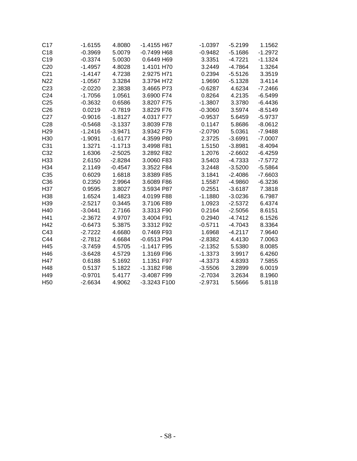| C <sub>17</sub> |           |           |               |           |           |           |
|-----------------|-----------|-----------|---------------|-----------|-----------|-----------|
|                 | $-1.6155$ | 4.8080    | -1.4155 H67   | -1.0397   | $-5.2199$ | 1.1562    |
| C <sub>18</sub> | $-0.3969$ | 5.0079    | $-0.7499$ H68 | $-0.9482$ | $-5.1686$ | $-1.2972$ |
| C <sub>19</sub> | $-0.3374$ | 5.0030    | 0.6449 H69    | 3.3351    | $-4.7221$ | $-1.1324$ |
| C <sub>20</sub> | $-1.4957$ | 4.8028    | 1.4101 H70    | 3.2449    | -4.7864   | 1.3264    |
| C <sub>21</sub> | $-1.4147$ | 4.7238    | 2.9275 H71    | 0.2394    | $-5.5126$ | 3.3519    |
| N22             | $-1.0567$ | 3.3284    | 3.3794 H72    | 1.9690    | $-5.1328$ | 3.4114    |
| C <sub>23</sub> | $-2.0220$ | 2.3838    | 3.4665 P73    | $-0.6287$ | 4.6234    | $-7.2466$ |
| C <sub>24</sub> | $-1.7056$ | 1.0561    | 3.6900 F74    | 0.8264    | 4.2135    | $-6.5499$ |
| C <sub>25</sub> | $-0.3632$ | 0.6586    | 3.8207 F75    | $-1.3807$ | 3.3780    | $-6.4436$ |
| C <sub>26</sub> | 0.0219    | $-0.7819$ | 3.8229 F76    | $-0.3060$ | 3.5974    | $-8.5149$ |
| C27             | $-0.9016$ | $-1.8127$ | 4.0317 F77    | $-0.9537$ | 5.6459    | $-5.9737$ |
| C <sub>28</sub> | $-0.5468$ | $-3.1337$ | 3.8039 F78    | 0.1147    | 5.8686    | $-8.0612$ |
| H <sub>29</sub> | $-1.2416$ | $-3.9471$ | 3.9342 F79    | $-2.0790$ | 5.0361    | $-7.9488$ |
| H30             | $-1.9091$ | $-1.6177$ | 4.3599 P80    | 2.3725    | $-3.6991$ | $-7.0007$ |
| C31             | 1.3271    | $-1.1713$ | 3.4998 F81    | 1.5150    | $-3.8981$ | $-8.4094$ |
| C32             | 1.6306    | $-2.5025$ | 3.2892 F82    | 1.2076    | $-2.6602$ | $-6.4259$ |
| H33             | 2.6150    | $-2.8284$ | 3.0060 F83    | 3.5403    | $-4.7333$ | $-7.5772$ |
| H34             | 2.1149    | $-0.4547$ | 3.3522 F84    | 3.2448    | $-3.5200$ | $-5.5864$ |
| C <sub>35</sub> | 0.6029    | 1.6818    | 3.8389 F85    | 3.1841    | $-2.4086$ | $-7.6603$ |
| C36             | 0.2350    | 2.9964    | 3.6089 F86    | 1.5587    | $-4.9860$ | $-6.3236$ |
| H37             | 0.9595    | 3.8027    | 3.5934 P87    | 0.2551    | $-3.6187$ | 7.3818    |
| H38             | 1.6524    | 1.4823    | 4.0199 F88    | $-1.1880$ | $-3.0236$ | 6.7987    |
| H39             | $-2.5217$ | 0.3445    | 3.7106 F89    | 1.0923    | $-2.5372$ | 6.4374    |
| H40             | $-3.0441$ | 2.7166    | 3.3313 F90    | 0.2164    | $-2.5056$ | 8.6151    |
| H41             | $-2.3672$ | 4.9707    | 3.4004 F91    | 0.2940    | $-4.7412$ | 6.1526    |
| H42             | $-0.6473$ | 5.3875    | 3.3312 F92    | $-0.5711$ | -4.7043   | 8.3364    |
| C43             | $-2.7222$ | 4.6680    | 0.7469 F93    | 1.6968    | $-4.2117$ | 7.9640    |
| C44             | $-2.7812$ | 4.6684    | $-0.6513$ P94 | $-2.8382$ | 4.4130    | 7.0063    |
| H45             | $-3.7459$ | 4.5705    | -1.1417 F95   | $-2.1352$ | 5.5380    | 8.0085    |
| H46             | $-3.6428$ | 4.5729    | 1.3169 F96    | $-1.3373$ | 3.9917    | 6.4260    |
| H47             | 0.6188    | 5.1692    | 1.1351 F97    | $-4.3373$ | 4.8393    | 7.5855    |
| H48             | 0.5137    | 5.1822    | -1.3182 F98   | $-3.5506$ | 3.2899    | 6.0019    |
| H49             | $-0.9701$ | 5.4177    | -3.4087 F99   | $-2.7034$ | 3.2634    | 8.1960    |
| H <sub>50</sub> | $-2.6634$ | 4.9062    | -3.3243 F100  | $-2.9731$ | 5.5666    | 5.8118    |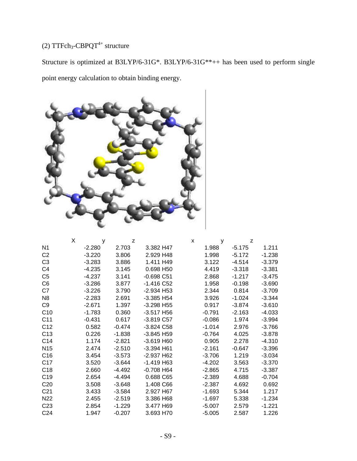# (2) TTFch<sub>3</sub>-CBPQT<sup>4+</sup> structure



|                 | Х | у        | z        |                          | X | у        | z        |          |
|-----------------|---|----------|----------|--------------------------|---|----------|----------|----------|
| N <sub>1</sub>  |   | $-2.280$ | 2.703    | 3.382 H47                |   | 1.988    | $-5.175$ | 1.211    |
| C <sub>2</sub>  |   | $-3.220$ | 3.806    | 2.929 H48                |   | 1.998    | $-5.172$ | $-1.238$ |
| C <sub>3</sub>  |   | $-3.283$ | 3.886    | 1.411 H49                |   | 3.122    | $-4.514$ | $-3.379$ |
| C <sub>4</sub>  |   | $-4.235$ | 3.145    | 0.698 H50                |   | 4.419    | $-3.318$ | $-3.381$ |
| C <sub>5</sub>  |   | $-4.237$ | 3.141    | $-0.698C51$              |   | 2.868    | $-1.217$ | $-3.475$ |
| C <sub>6</sub>  |   | $-3.286$ | 3.877    | -1.416 C52               |   | 1.958    | $-0.198$ | $-3.690$ |
| C7              |   | $-3.226$ | 3.790    | $-2.934$ H <sub>53</sub> |   | 2.344    | 0.814    | $-3.709$ |
| N <sub>8</sub>  |   | $-2.283$ | 2.691    | $-3.385$ H <sub>54</sub> |   | 3.926    | $-1.024$ | $-3.344$ |
| C <sub>9</sub>  |   | $-2.671$ | 1.397    | $-3.298$ H <sub>55</sub> |   | 0.917    | $-3.874$ | $-3.610$ |
| C10             |   | $-1.783$ | 0.360    | $-3.517$ H <sub>56</sub> |   | $-0.791$ | $-2.163$ | $-4.033$ |
| C <sub>11</sub> |   | $-0.431$ | 0.617    | -3.819 C57               |   | $-0.086$ | 1.974    | $-3.994$ |
| C <sub>12</sub> |   | 0.582    | $-0.474$ | $-3.824C58$              |   | $-1.014$ | 2.976    | $-3.766$ |
| C <sub>13</sub> |   | 0.226    | $-1.838$ | $-3.845$ H <sub>59</sub> |   | $-0.764$ | 4.025    | $-3.878$ |
| C <sub>14</sub> |   | 1.174    | $-2.821$ | $-3.619$ H60             |   | 0.905    | 2.278    | $-4.310$ |
| N <sub>15</sub> |   | 2.474    | $-2.510$ | $-3.394$ H61             |   | $-2.161$ | $-0.647$ | $-3.396$ |
| C <sub>16</sub> |   | 3.454    | $-3.573$ | $-2.937$ H62             |   | $-3.706$ | 1.219    | $-3.034$ |
| C <sub>17</sub> |   | 3.520    | $-3.644$ | $-1.419$ H63             |   | $-4.202$ | 3.563    | $-3.370$ |
| C <sub>18</sub> |   | 2.660    | $-4.492$ | $-0.708$ H64             |   | $-2.865$ | 4.715    | $-3.387$ |
| C <sub>19</sub> |   | 2.654    | -4.494   | 0.688 C65                |   | $-2.389$ | 4.688    | $-0.704$ |
| C <sub>20</sub> |   | 3.508    | $-3.648$ | 1.408 C66                |   | $-2.387$ | 4.692    | 0.692    |
| C <sub>21</sub> |   | 3.433    | $-3.584$ | 2.927 H67                |   | $-1.693$ | 5.344    | 1.217    |
| N22             |   | 2.455    | $-2.519$ | 3.386 H68                |   | $-1.697$ | 5.338    | $-1.234$ |
| C <sub>23</sub> |   | 2.854    | $-1.229$ | 3.477 H69                |   | $-5.007$ | 2.579    | $-1.221$ |
| C <sub>24</sub> |   | 1.947    | $-0.207$ | 3.693 H70                |   | $-5.005$ | 2.587    | 1.226    |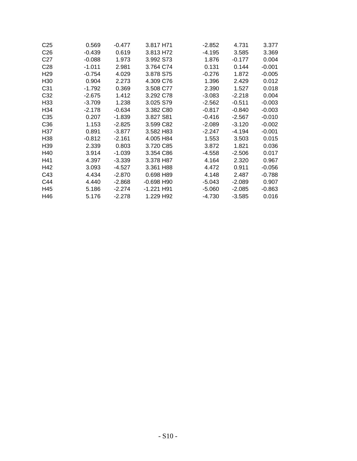| C <sub>25</sub> | 0.569    | $-0.477$ | 3.817 H71    | $-2.852$ | 4.731    | 3.377    |
|-----------------|----------|----------|--------------|----------|----------|----------|
| C <sub>26</sub> | $-0.439$ | 0.619    | 3.813 H72    | -4.195   | 3.585    | 3.369    |
| C <sub>27</sub> | $-0.088$ | 1.973    | 3.992 S73    | 1.876    | $-0.177$ | 0.004    |
| C <sub>28</sub> | $-1.011$ | 2.981    | 3.764 C74    | 0.131    | 0.144    | $-0.001$ |
| H <sub>29</sub> | $-0.754$ | 4.029    | 3.878 S75    | -0.276   | 1.872    | $-0.005$ |
| H <sub>30</sub> | 0.904    | 2.273    | 4.309 C76    | 1.396    | 2.429    | 0.012    |
| C <sub>31</sub> | $-1.792$ | 0.369    | 3.508 C77    | 2.390    | 1.527    | 0.018    |
| C <sub>32</sub> | $-2.675$ | 1.412    | 3.292 C78    | $-3.083$ | $-2.218$ | 0.004    |
| H <sub>33</sub> | $-3.709$ | 1.238    | 3.025 S79    | $-2.562$ | $-0.511$ | $-0.003$ |
| H34             | $-2.178$ | $-0.634$ | 3.382 C80    | $-0.817$ | $-0.840$ | $-0.003$ |
| C <sub>35</sub> | 0.207    | $-1.839$ | 3.827 S81    | $-0.416$ | $-2.567$ | $-0.010$ |
| C <sub>36</sub> | 1.153    | $-2.825$ | 3.599 C82    | $-2.089$ | $-3.120$ | $-0.002$ |
| H37             | 0.891    | $-3.877$ | 3.582 H83    | $-2.247$ | -4.194   | $-0.001$ |
| H38             | $-0.812$ | $-2.161$ | 4.005 H84    | 1.553    | 3.503    | 0.015    |
| H <sub>39</sub> | 2.339    | 0.803    | 3.720 C85    | 3.872    | 1.821    | 0.036    |
| H40             | 3.914    | $-1.039$ | 3.354 C86    | $-4.558$ | $-2.506$ | 0.017    |
| H41             | 4.397    | $-3.339$ | 3.378 H87    | 4.164    | 2.320    | 0.967    |
| H42             | 3.093    | $-4.527$ | 3.361 H88    | 4.472    | 0.911    | $-0.056$ |
| C43             | 4.434    | $-2.870$ | 0.698 H89    | 4.148    | 2.487    | $-0.788$ |
| C44             | 4.440    | $-2.868$ | $-0.698$ H90 | $-5.043$ | $-2.089$ | 0.907    |
| H45             | 5.186    | $-2.274$ | $-1.221$ H91 | $-5.060$ | $-2.085$ | $-0.863$ |
| H46             | 5.176    | $-2.278$ | 1.229 H92    | $-4.730$ | $-3.585$ | 0.016    |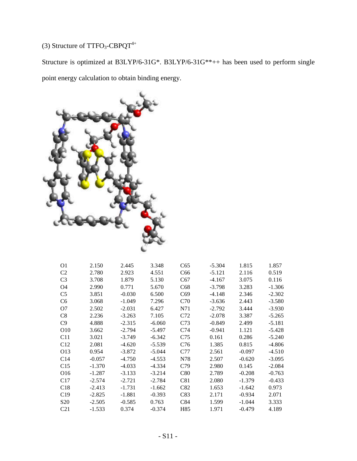## (3) Structure of TTFO<sub>3</sub>-CBPQT<sup>4+</sup>



| O1              | 2.150    | 2.445    | 3.348    | C65             | $-5.304$ | 1.815    | 1.857    |
|-----------------|----------|----------|----------|-----------------|----------|----------|----------|
| C <sub>2</sub>  | 2.780    | 2.923    | 4.551    | C <sub>66</sub> | $-5.121$ | 2.116    | 0.519    |
| C <sub>3</sub>  | 3.708    | 1.879    | 5.130    | C67             | $-4.167$ | 3.075    | 0.116    |
| <b>O4</b>       | 2.990    | 0.771    | 5.670    | C68             | $-3.798$ | 3.283    | $-1.306$ |
| C <sub>5</sub>  | 3.851    | $-0.030$ | 6.500    | C69             | $-4.148$ | 2.346    | $-2.302$ |
| C <sub>6</sub>  | 3.068    | $-1.049$ | 7.296    | C70             | $-3.636$ | 2.443    | $-3.580$ |
| O7              | 2.502    | $-2.031$ | 6.427    | N71             | $-2.792$ | 3.444    | $-3.930$ |
| C8              | 2.236    | $-3.263$ | 7.105    | C72             | $-2.078$ | 3.387    | $-5.265$ |
| C9              | 4.888    | $-2.315$ | $-6.060$ | C <sub>73</sub> | $-0.849$ | 2.499    | $-5.181$ |
| O <sub>10</sub> | 3.662    | $-2.794$ | $-5.497$ | C <sub>74</sub> | $-0.941$ | 1.121    | $-5.428$ |
| C11             | 3.021    | $-3.749$ | $-6.342$ | C <sub>75</sub> | 0.161    | 0.286    | $-5.240$ |
| C12             | 2.081    | $-4.620$ | $-5.539$ | C76             | 1.385    | 0.815    | $-4.806$ |
| O13             | 0.954    | $-3.872$ | $-5.044$ | C77             | 2.561    | $-0.097$ | $-4.510$ |
| C <sub>14</sub> | $-0.057$ | $-4.750$ | $-4.553$ | N78             | 2.507    | $-0.620$ | $-3.095$ |
| C15             | $-1.370$ | $-4.033$ | $-4.334$ | C79             | 2.980    | 0.145    | $-2.084$ |
| O <sub>16</sub> | $-1.287$ | $-3.133$ | $-3.214$ | C80             | 2.789    | $-0.208$ | $-0.763$ |
| C17             | $-2.574$ | $-2.721$ | $-2.784$ | C81             | 2.080    | $-1.379$ | $-0.433$ |
| C18             | $-2.413$ | $-1.731$ | $-1.662$ | C82             | 1.653    | $-1.642$ | 0.973    |
| C19             | $-2.825$ | $-1.881$ | $-0.393$ | C83             | 2.171    | $-0.934$ | 2.071    |
| S <sub>20</sub> | $-2.505$ | $-0.585$ | 0.763    | C84             | 1.599    | $-1.044$ | 3.333    |
| C <sub>21</sub> | $-1.533$ | 0.374    | $-0.374$ | H85             | 1.971    | $-0.479$ | 4.189    |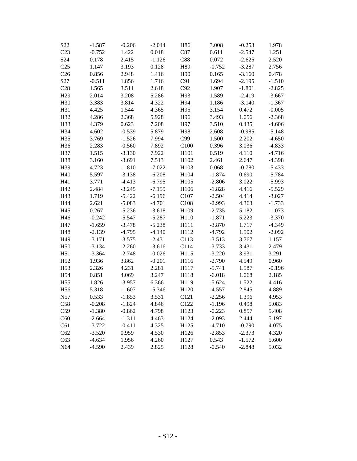| S22             | $-1.587$ | $-0.206$ | $-2.044$ | H86  | 3.008    | $-0.253$ | 1.978    |
|-----------------|----------|----------|----------|------|----------|----------|----------|
| C <sub>23</sub> | $-0.752$ | 1.422    | 0.018    | C87  | 0.611    | $-2.547$ | 1.251    |
| S24             | 0.178    | 2.415    | $-1.126$ | C88  | 0.072    | $-2.625$ | 2.520    |
| C <sub>25</sub> | 1.147    | 3.193    | 0.128    | H89  | $-0.752$ | $-3.287$ | 2.756    |
| C <sub>26</sub> | 0.856    | 2.948    | 1.416    | H90  | 0.165    | $-3.160$ | 0.478    |
| S27             | $-0.511$ | 1.856    | 1.716    | C91  | 1.694    | $-2.195$ | $-1.510$ |
| C28             | 1.565    | 3.511    | 2.618    | C92  | 1.907    | $-1.801$ | $-2.825$ |
| H <sub>29</sub> | 2.014    | 3.208    | 5.286    | H93  | 1.589    | $-2.419$ | $-3.667$ |
| H30             | 3.383    | 3.814    | 4.322    | H94  | 1.186    | $-3.140$ | $-1.367$ |
| H31             | 4.425    | 1.544    | 4.365    | H95  | 3.154    | 0.472    | $-0.005$ |
| H32             | 4.286    | 2.368    | 5.928    | H96  | 3.493    | 1.056    | $-2.368$ |
| H33             | 4.379    | 0.623    | 7.208    | H97  | 3.510    | 0.435    | $-4.606$ |
| H34             | 4.602    | $-0.539$ | 5.879    | H98  | 2.608    | $-0.985$ | $-5.148$ |
| H35             | 3.769    | $-1.526$ | 7.994    | C99  | 1.500    | 2.202    | $-4.650$ |
| H36             | 2.283    | $-0.560$ | 7.892    | C100 | 0.396    | 3.036    | $-4.833$ |
| H37             | 1.515    | $-3.130$ | 7.922    | H101 | 0.519    | 4.110    | $-4.716$ |
| H38             | 3.160    | $-3.691$ | 7.513    | H102 | 2.461    | 2.647    | $-4.398$ |
| H39             | 4.723    | $-1.810$ | $-7.022$ | H103 | 0.068    | $-0.780$ | $-5.433$ |
| H40             | 5.597    | $-3.138$ | $-6.208$ | H104 | $-1.874$ | 0.690    | $-5.784$ |
| H41             | 3.771    | $-4.413$ | $-6.795$ | H105 | $-2.806$ | 3.022    | $-5.993$ |
| H42             | 2.484    | $-3.245$ | $-7.159$ | H106 | $-1.828$ | 4.416    | $-5.529$ |
| H43             | 1.719    | $-5.422$ | $-6.196$ | C107 | $-2.504$ | 4.414    | $-3.027$ |
| H44             | 2.621    | $-5.083$ | $-4.701$ | C108 | $-2.993$ | 4.363    | $-1.733$ |
| H45             | 0.267    | $-5.236$ | $-3.618$ | H109 | $-2.735$ | 5.182    | $-1.073$ |
| H46             | $-0.242$ | $-5.547$ | $-5.287$ | H110 | $-1.871$ | 5.223    | $-3.370$ |
| H47             | $-1.659$ | $-3.478$ | $-5.238$ | H111 | $-3.870$ | 1.717    | $-4.349$ |
| H48             | $-2.139$ | $-4.795$ | $-4.140$ | H112 | $-4.792$ | 1.502    | $-2.092$ |
| H49             | $-3.171$ | $-3.575$ | $-2.431$ | C113 | $-3.513$ | 3.767    | 1.157    |
| H <sub>50</sub> | $-3.134$ | $-2.260$ | $-3.616$ | C114 | $-3.733$ | 3.431    | 2.479    |
| H51             | $-3.364$ | $-2.748$ | $-0.026$ | H115 | $-3.220$ | 3.931    | 3.291    |
| H52             | 1.936    | 3.862    | $-0.201$ | H116 | $-2.790$ | 4.549    | 0.960    |
| H53             | 2.326    | 4.231    | 2.281    | H117 | $-5.741$ | 1.587    | $-0.196$ |
| H54             | 0.851    | 4.069    | 3.247    | H118 | $-6.018$ | 1.068    | 2.185    |
| H <sub>55</sub> | 1.826    | $-3.957$ | 6.366    | H119 | $-5.624$ | 1.522    | 4.416    |
| H56             | 5.318    | $-1.607$ | $-5.346$ | H120 | $-4.557$ | 2.845    | 4.889    |
| N57             | 0.533    | $-1.853$ | 3.531    | C121 | $-2.256$ | 1.396    | 4.953    |
| C58             | $-0.208$ | $-1.824$ | 4.846    | C122 | $-1.196$ | 0.498    | 5.083    |
| C59             | $-1.380$ | $-0.862$ | 4.798    | H123 | $-0.223$ | 0.857    | 5.408    |
| C60             | $-2.664$ | $-1.311$ | 4.463    | H124 | $-2.093$ | 2.444    | 5.197    |
| C61             | $-3.722$ | $-0.411$ | 4.325    | H125 | $-4.710$ | $-0.790$ | 4.075    |
| C62             | $-3.520$ | 0.959    | 4.530    | H126 | $-2.853$ | $-2.373$ | 4.320    |
| C63             | $-4.634$ | 1.956    | 4.260    | H127 | 0.543    | $-1.572$ | 5.600    |
| N64             | $-4.590$ | 2.439    | 2.825    | H128 | $-0.540$ | $-2.848$ | 5.032    |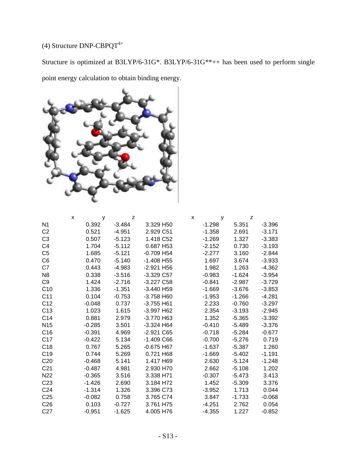## (4) Structure DNP-CBPQ $T^{4+}$



|                 | x | у        | z        |                          | x | у        | z        |          |
|-----------------|---|----------|----------|--------------------------|---|----------|----------|----------|
| N <sub>1</sub>  |   | 0.392    | $-3.484$ | 3.329 H50                |   | $-1.298$ | 5.351    | $-3.396$ |
| C <sub>2</sub>  |   | 0.521    | $-4.951$ | 2.929 C51                |   | $-1.358$ | 2.691    | $-3.171$ |
| C <sub>3</sub>  |   | 0.507    | $-5.123$ | 1.418 C52                |   | $-1.269$ | 1.327    | $-3.383$ |
| C <sub>4</sub>  |   | 1.704    | $-5.112$ | 0.687 H53                |   | $-2.152$ | 0.730    | $-3.193$ |
| C <sub>5</sub>  |   | 1.685    | $-5.121$ | $-0.709$ H <sub>54</sub> |   | $-2.277$ | 3.160    | $-2.844$ |
| C <sub>6</sub>  |   | 0.470    | $-5.140$ | $-1.408$ H <sub>55</sub> |   | 1.697    | 3.674    | $-3.933$ |
| C7              |   | 0.443    | $-4.983$ | $-2.921$ H <sub>56</sub> |   | 1.982    | 1.263    | $-4.362$ |
| N <sub>8</sub>  |   | 0.338    | $-3.516$ | -3.329 C57               |   | $-0.983$ | $-1.624$ | $-3.954$ |
| C <sub>9</sub>  |   | 1.424    | $-2.716$ | -3.227 C58               |   | $-0.841$ | $-2.987$ | $-3.729$ |
| C10             |   | 1.336    | $-1.351$ | $-3.440$ H <sub>59</sub> |   | $-1.669$ | $-3.676$ | $-3.853$ |
| C <sub>11</sub> |   | 0.104    | $-0.753$ | $-3.758$ H60             |   | $-1.953$ | $-1.266$ | $-4.281$ |
| C <sub>12</sub> |   | $-0.048$ | 0.737    | $-3.755$ H61             |   | 2.233    | $-0.760$ | $-3.297$ |
| C <sub>13</sub> |   | 1.023    | 1.615    | -3.997 H62               |   | 2.354    | $-3.193$ | $-2.945$ |
| C14             |   | 0.881    | 2.979    | -3.770 H63               |   | 1.352    | $-5.365$ | $-3.392$ |
| N <sub>15</sub> |   | $-0.285$ | 3.501    | $-3.324$ H64             |   | $-0.410$ | $-5.489$ | $-3.376$ |
| C16             |   | $-0.391$ | 4.969    | -2.921 C65               |   | $-0.718$ | $-5.284$ | $-0.677$ |
| C <sub>17</sub> |   | $-0.422$ | 5.134    | $-1.409$ C66             |   | $-0.700$ | $-5.276$ | 0.719    |
| C <sub>18</sub> |   | 0.767    | 5.265    | $-0.675$ H67             |   | $-1.637$ | $-5.387$ | 1.260    |
| C <sub>19</sub> |   | 0.744    | 5.269    | 0.721 H68                |   | $-1.669$ | $-5.402$ | $-1.191$ |
| C <sub>20</sub> |   | $-0.468$ | 5.141    | 1.417 H69                |   | 2.630    | $-5.124$ | $-1.248$ |
| C <sub>21</sub> |   | $-0.487$ | 4.981    | 2.930 H70                |   | 2.662    | $-5.108$ | 1.202    |
| N22             |   | $-0.365$ | 3.516    | 3.338 H71                |   | $-0.307$ | $-5.473$ | 3.413    |
| C <sub>23</sub> |   | $-1.426$ | 2.690    | 3.184 H72                |   | 1.452    | $-5.309$ | 3.376    |
| C <sub>24</sub> |   | $-1.314$ | 1.326    | 3.396 C73                |   | $-3.952$ | 1.713    | 0.044    |
| C <sub>25</sub> |   | $-0.082$ | 0.758    | 3.765 C74                |   | 3.847    | $-1.733$ | $-0.068$ |
| C <sub>26</sub> |   | 0.103    | $-0.727$ | 3.761 H75                |   | $-4.251$ | 2.762    | 0.054    |
| C <sub>27</sub> |   | $-0.951$ | $-1.625$ | 4.005 H76                |   | $-4.355$ | 1.227    | $-0.852$ |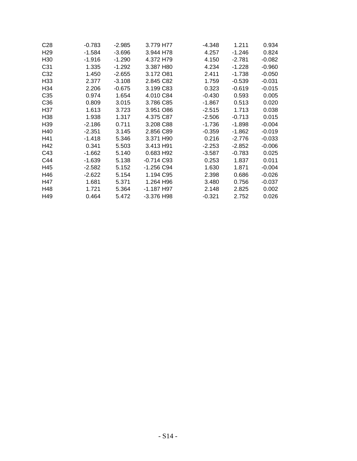| C <sub>28</sub> | $-0.783$ | $-2.985$ | 3.779 H77  | $-4.348$ | 1.211    | 0.934    |
|-----------------|----------|----------|------------|----------|----------|----------|
| H <sub>29</sub> | $-1.584$ | $-3.696$ | 3.944 H78  | 4.257    | $-1.246$ | 0.824    |
| H <sub>30</sub> | $-1.916$ | $-1.290$ | 4.372 H79  | 4.150    | $-2.781$ | $-0.082$ |
| C <sub>31</sub> | 1.335    | $-1.292$ | 3.387 H80  | 4.234    | $-1.228$ | $-0.960$ |
| C32             | 1.450    | $-2.655$ | 3.172 081  | 2.411    | $-1.738$ | $-0.050$ |
| H <sub>33</sub> | 2.377    | $-3.108$ | 2.845 C82  | 1.759    | $-0.539$ | $-0.031$ |
| H34             | 2.206    | $-0.675$ | 3.199 C83  | 0.323    | $-0.619$ | $-0.015$ |
| C <sub>35</sub> | 0.974    | 1.654    | 4.010 C84  | $-0.430$ | 0.593    | 0.005    |
| C <sub>36</sub> | 0.809    | 3.015    | 3.786 C85  | $-1.867$ | 0.513    | 0.020    |
| H37             | 1.613    | 3.723    | 3.951 086  | $-2.515$ | 1.713    | 0.038    |
| H <sub>38</sub> | 1.938    | 1.317    | 4.375 C87  | $-2.506$ | $-0.713$ | 0.015    |
| H <sub>39</sub> | $-2.186$ | 0.711    | 3.208 C88  | $-1.736$ | $-1.898$ | $-0.004$ |
| H40             | $-2.351$ | 3.145    | 2.856 C89  | $-0.359$ | $-1.862$ | $-0.019$ |
| H41             | $-1.418$ | 5.346    | 3.371 H90  | 0.216    | $-2.776$ | $-0.033$ |
| H42             | 0.341    | 5.503    | 3.413 H91  | $-2.253$ | $-2.852$ | $-0.006$ |
| C43             | $-1.662$ | 5.140    | 0.683 H92  | $-3.587$ | $-0.783$ | 0.025    |
| C44             | $-1.639$ | 5.138    | -0.714 C93 | 0.253    | 1.837    | 0.011    |
| H45             | $-2.582$ | 5.152    | -1.256 C94 | 1.630    | 1.871    | $-0.004$ |
| H46             | $-2.622$ | 5.154    | 1.194 C95  | 2.398    | 0.686    | $-0.026$ |
| H47             | 1.681    | 5.371    | 1.264 H96  | 3.480    | 0.756    | $-0.037$ |
| H48             | 1.721    | 5.364    | -1.187 H97 | 2.148    | 2.825    | 0.002    |
| H49             | 0.464    | 5.472    | -3.376 H98 | $-0.321$ | 2.752    | 0.026    |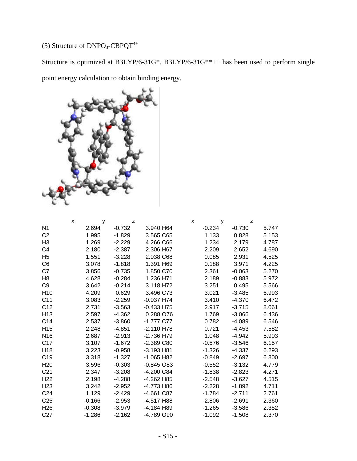(5) Structure of  $DNPO_3-CBPQT^{4+}$ 



|                 | x | у        | z        |                          | X | у        | z        |       |
|-----------------|---|----------|----------|--------------------------|---|----------|----------|-------|
| N1              |   | 2.694    | $-0.732$ | 3.940 H64                |   | $-0.234$ | $-0.730$ | 5.747 |
| C <sub>2</sub>  |   | 1.995    | $-1.829$ | 3.565 C65                |   | 1.133    | 0.828    | 5.153 |
| H <sub>3</sub>  |   | 1.269    | $-2.229$ | 4.266 C66                |   | 1.234    | 2.179    | 4.787 |
| C <sub>4</sub>  |   | 2.180    | $-2.387$ | 2.306 H67                |   | 2.209    | 2.652    | 4.690 |
| H <sub>5</sub>  |   | 1.551    | $-3.228$ | 2.038 C68                |   | 0.085    | 2.931    | 4.525 |
| C <sub>6</sub>  |   | 3.078    | $-1.818$ | 1.391 H69                |   | 0.188    | 3.971    | 4.225 |
| C7              |   | 3.856    | $-0.735$ | 1.850 C70                |   | 2.361    | $-0.063$ | 5.270 |
| H <sub>8</sub>  |   | 4.628    | $-0.284$ | 1.236 H71                |   | 2.189    | $-0.883$ | 5.972 |
| C <sub>9</sub>  |   | 3.642    | $-0.214$ | 3.118 H72                |   | 3.251    | 0.495    | 5.566 |
| H10             |   | 4.209    | 0.629    | 3.496 C73                |   | 3.021    | $-3.485$ | 6.993 |
| C <sub>11</sub> |   | 3.083    | $-2.259$ | $-0.037$ H74             |   | 3.410    | $-4.370$ | 6.472 |
| C <sub>12</sub> |   | 2.731    | $-3.563$ | $-0.433$ H75             |   | 2.917    | $-3.715$ | 8.061 |
| H <sub>13</sub> |   | 2.597    | $-4.362$ | 0.288 O76                |   | 1.769    | $-3.066$ | 6.436 |
| C <sub>14</sub> |   | 2.537    | $-3.860$ | -1.777 C77               |   | 0.782    | -4.089   | 6.546 |
| H <sub>15</sub> |   | 2.248    | $-4.851$ | $-2.110$ H78             |   | 0.721    | $-4.453$ | 7.582 |
| N <sub>16</sub> |   | 2.687    | $-2.913$ | -2.736 H79               |   | 1.048    | $-4.942$ | 5.903 |
| C <sub>17</sub> |   | 3.107    | $-1.672$ | -2.389 C80               |   | $-0.576$ | $-3.546$ | 6.157 |
| H18             |   | 3.223    | $-0.958$ | $-3.193$ H81             |   | $-1.326$ | $-4.337$ | 6.293 |
| C <sub>19</sub> |   | 3.318    | $-1.327$ | $-1.065$ H82             |   | $-0.849$ | $-2.697$ | 6.800 |
| H <sub>20</sub> |   | 3.596    | $-0.303$ | $-0.845$ O83             |   | $-0.552$ | $-3.132$ | 4.779 |
| C <sub>21</sub> |   | 2.347    | $-3.208$ | -4.200 C84               |   | $-1.838$ | $-2.823$ | 4.271 |
| H <sub>22</sub> |   | 2.198    | $-4.288$ | $-4.262$ H85             |   | $-2.548$ | $-3.627$ | 4.515 |
| H <sub>23</sub> |   | 3.242    | $-2.952$ | -4.773 H86               |   | $-2.228$ | $-1.892$ | 4.711 |
| C <sub>24</sub> |   | 1.129    | $-2.429$ | -4.661 C87               |   | $-1.784$ | $-2.711$ | 2.761 |
| C <sub>25</sub> |   | $-0.166$ | $-2.953$ | -4.517 H88               |   | $-2.806$ | $-2.691$ | 2.360 |
| H <sub>26</sub> |   | $-0.308$ | $-3.979$ | -4.184 H89               |   | $-1.265$ | $-3.586$ | 2.352 |
| C <sub>27</sub> |   | $-1.286$ | $-2.162$ | $-4.789$ O <sub>90</sub> |   | $-1.092$ | $-1.508$ | 2.370 |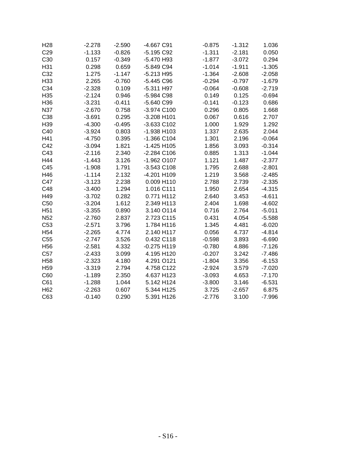| H <sub>28</sub> | $-2.278$ | $-2.590$ | -4.667 C91    | $-0.875$ | $-1.312$ | 1.036    |
|-----------------|----------|----------|---------------|----------|----------|----------|
| C <sub>29</sub> | $-1.133$ | $-0.826$ | -5.195 C92    | $-1.311$ | $-2.181$ | 0.050    |
| C <sub>30</sub> | 0.157    | $-0.349$ | -5.470 H93    | $-1.877$ | $-3.072$ | 0.294    |
| H31             | 0.298    | 0.659    | -5.849 C94    | $-1.014$ | $-1.911$ | $-1.305$ |
| C32             | 1.275    | $-1.147$ | $-5.213$ H95  | $-1.364$ | $-2.608$ | $-2.058$ |
| H33             | 2.265    | $-0.760$ | -5.445 C96    | $-0.294$ | $-0.797$ | $-1.679$ |
| C34             | $-2.328$ | 0.109    | $-5.311$ H97  | $-0.064$ | $-0.608$ | $-2.719$ |
| H35             | $-2.124$ | 0.946    | -5.984 C98    | 0.149    | 0.125    | $-0.694$ |
| H36             | $-3.231$ | $-0.411$ | -5.640 C99    | $-0.141$ | $-0.123$ | 0.686    |
| N37             | $-2.670$ | 0.758    | -3.974 C100   | 0.296    | 0.805    | 1.668    |
| C38             | $-3.691$ | 0.295    | -3.208 H101   | 0.067    | 0.616    | 2.707    |
| H39             | $-4.300$ | $-0.495$ | -3.633 C102   | 1.000    | 1.929    | 1.292    |
| C40             | $-3.924$ | 0.803    | -1.938 H103   | 1.337    | 2.635    | 2.044    |
| H41             | $-4.750$ | 0.395    | -1.366 C104   | 1.301    | 2.196    | $-0.064$ |
| C42             | $-3.094$ | 1.821    | $-1.425$ H105 | 1.856    | 3.093    | $-0.314$ |
| C43             | $-2.116$ | 2.340    | -2.284 C106   | 0.885    | 1.313    | $-1.044$ |
| H44             | $-1.443$ | 3.126    | -1.962 O107   | 1.121    | 1.487    | $-2.377$ |
| C45             | $-1.908$ | 1.791    | -3.543 C108   | 1.795    | 2.688    | $-2.801$ |
| H46             | $-1.114$ | 2.132    | -4.201 H109   | 1.219    | 3.568    | $-2.485$ |
| C47             | $-3.123$ | 2.238    | 0.009 H110    | 2.788    | 2.739    | $-2.335$ |
| C48             | $-3.400$ | 1.294    | 1.016 C111    | 1.950    | 2.654    | $-4.315$ |
| H49             | $-3.702$ | 0.282    | 0.771 H112    | 2.640    | 3.453    | $-4.611$ |
| C <sub>50</sub> | $-3.204$ | 1.612    | 2.349 H113    | 2.404    | 1.698    | $-4.602$ |
| H <sub>51</sub> | $-3.355$ | 0.890    | 3.140 O114    | 0.716    | 2.764    | $-5.011$ |
| N <sub>52</sub> | $-2.760$ | 2.837    | 2.723 C115    | 0.431    | 4.054    | $-5.588$ |
| C <sub>53</sub> | $-2.571$ | 3.796    | 1.784 H116    | 1.345    | 4.481    | $-6.020$ |
| H <sub>54</sub> | $-2.265$ | 4.774    | 2.140 H117    | 0.056    | 4.737    | $-4.814$ |
| C <sub>55</sub> | $-2.747$ | 3.526    | 0.432 C118    | $-0.598$ | 3.893    | $-6.690$ |
| H <sub>56</sub> | $-2.581$ | 4.332    | $-0.275$ H119 | $-0.780$ | 4.886    | $-7.126$ |
| C <sub>57</sub> | $-2.433$ | 3.099    | 4.195 H120    | $-0.207$ | 3.242    | $-7.486$ |
| H <sub>58</sub> | $-2.323$ | 4.180    | 4.291 O121    | $-1.804$ | 3.356    | $-6.153$ |
| H <sub>59</sub> | $-3.319$ | 2.794    | 4.758 C122    | $-2.924$ | 3.579    | $-7.020$ |
| C60             | $-1.189$ | 2.350    | 4.637 H123    | $-3.093$ | 4.653    | $-7.170$ |
| C61             | $-1.288$ | 1.044    | 5.142 H124    | $-3.800$ | 3.146    | $-6.531$ |
| H62             | $-2.263$ | 0.607    | 5.344 H125    | 3.725    | $-2.657$ | 6.875    |
| C63             | $-0.140$ | 0.290    | 5.391 H126    | $-2.776$ | 3.100    | $-7.996$ |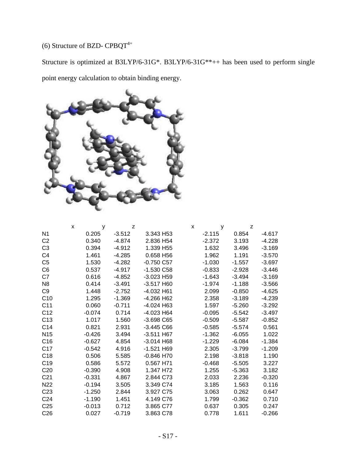(6) Structure of BZD-  $CPBQT^{4+}$ 



|                 | X | у        | z        |                       | X | у        | z        |          |
|-----------------|---|----------|----------|-----------------------|---|----------|----------|----------|
| N <sub>1</sub>  |   | 0.205    | $-3.512$ | 3.343 H <sub>53</sub> |   | $-2.115$ | 0.854    | $-4.617$ |
| C <sub>2</sub>  |   | 0.340    | $-4.874$ | 2.836 H54             |   | $-2.372$ | 3.193    | $-4.228$ |
| C <sub>3</sub>  |   | 0.394    | $-4.912$ | 1.339 H55             |   | 1.632    | 3.496    | $-3.169$ |
| C <sub>4</sub>  |   | 1.461    | $-4.285$ | 0.658 H56             |   | 1.962    | 1.191    | $-3.570$ |
| C <sub>5</sub>  |   | 1.530    | $-4.282$ | $-0.750C57$           |   | $-1.030$ | $-1.557$ | $-3.697$ |
| C <sub>6</sub>  |   | 0.537    | $-4.917$ | -1.530 C58            |   | $-0.833$ | $-2.928$ | $-3.446$ |
| C7              |   | 0.616    | $-4.852$ | $-3.023$ H59          |   | $-1.643$ | $-3.494$ | $-3.169$ |
| N <sub>8</sub>  |   | 0.414    | $-3.491$ | $-3.517$ H60          |   | $-1.974$ | $-1.188$ | $-3.566$ |
| C <sub>9</sub>  |   | 1.448    | $-2.752$ | -4.032 H61            |   | 2.099    | $-0.850$ | $-4.625$ |
| C10             |   | 1.295    | $-1.369$ | -4.266 H62            |   | 2.358    | $-3.189$ | $-4.239$ |
| C <sub>11</sub> |   | 0.060    | $-0.711$ | $-4.024$ H63          |   | 1.597    | $-5.260$ | $-3.292$ |
| C12             |   | $-0.074$ | 0.714    | -4.023 H64            |   | $-0.095$ | $-5.542$ | $-3.497$ |
| C13             |   | 1.017    | 1.560    | -3.698 C65            |   | $-0.509$ | $-5.587$ | $-0.852$ |
| C <sub>14</sub> |   | 0.821    | 2.931    | $-3.445$ C66          |   | $-0.585$ | $-5.574$ | 0.561    |
| N <sub>15</sub> |   | $-0.426$ | 3.494    | $-3.511$ H67          |   | $-1.362$ | $-6.055$ | 1.022    |
| C <sub>16</sub> |   | $-0.627$ | 4.854    | $-3.014$ H68          |   | $-1.229$ | $-6.084$ | $-1.384$ |
| C <sub>17</sub> |   | $-0.542$ | 4.916    | $-1.521$ H69          |   | 2.305    | $-3.799$ | $-1.209$ |
| C <sub>18</sub> |   | 0.506    | 5.585    | $-0.846$ H70          |   | 2.198    | $-3.818$ | 1.190    |
| C <sub>19</sub> |   | 0.586    | 5.572    | 0.567 H71             |   | $-0.468$ | $-5.505$ | 3.227    |
| C <sub>20</sub> |   | $-0.390$ | 4.908    | 1.347 H72             |   | 1.255    | $-5.363$ | 3.182    |
| C <sub>21</sub> |   | $-0.331$ | 4.867    | 2.844 C73             |   | 2.033    | 2.236    | $-0.320$ |
| N22             |   | $-0.194$ | 3.505    | 3.349 C74             |   | 3.185    | 1.563    | 0.116    |
| C <sub>23</sub> |   | $-1.250$ | 2.844    | 3.927 C75             |   | 3.063    | 0.262    | 0.647    |
| C <sub>24</sub> |   | $-1.190$ | 1.451    | 4.149 C76             |   | 1.799    | $-0.362$ | 0.710    |
| C <sub>25</sub> |   | $-0.013$ | 0.712    | 3.865 C77             |   | 0.637    | 0.305    | 0.247    |
| C <sub>26</sub> |   | 0.027    | $-0.719$ | 3.863 C78             |   | 0.778    | 1.611    | $-0.266$ |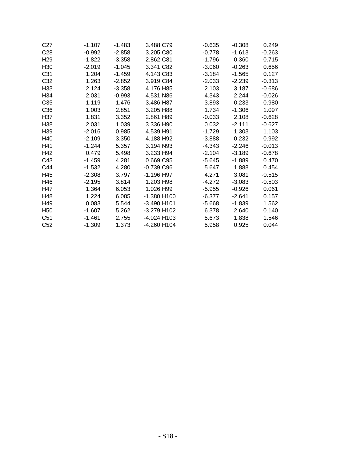| C <sub>27</sub> | $-1.107$ | $-1.483$ | 3.488 C79                 | $-0.635$ | $-0.308$ | 0.249    |
|-----------------|----------|----------|---------------------------|----------|----------|----------|
| C <sub>28</sub> | $-0.992$ | $-2.858$ | 3.205 C80                 | $-0.778$ | $-1.613$ | $-0.263$ |
| H <sub>29</sub> | $-1.822$ | $-3.358$ | 2.862 C81                 | $-1.796$ | 0.360    | 0.715    |
| H30             | $-2.019$ | $-1.045$ | 3.341 C82                 | $-3.060$ | $-0.263$ | 0.656    |
| C <sub>31</sub> | 1.204    | $-1.459$ | 4.143 C83                 | $-3.184$ | $-1.565$ | 0.127    |
| C32             | 1.263    | $-2.852$ | 3.919 C84                 | $-2.033$ | $-2.239$ | $-0.313$ |
| H <sub>33</sub> | 2.124    | $-3.358$ | 4.176 H <sub>85</sub>     | 2.103    | 3.187    | $-0.686$ |
| H34             | 2.031    | $-0.993$ | 4.531 N86                 | 4.343    | 2.244    | $-0.026$ |
| C <sub>35</sub> | 1.119    | 1.476    | 3.486 H87                 | 3.893    | $-0.233$ | 0.980    |
| C <sub>36</sub> | 1.003    | 2.851    | 3.205 H88                 | 1.734    | $-1.306$ | 1.097    |
| H37             | 1.831    | 3.352    | 2.861 H89                 | $-0.033$ | 2.108    | $-0.628$ |
| H38             | 2.031    | 1.039    | 3.336 H90                 | 0.032    | $-2.111$ | $-0.627$ |
| H <sub>39</sub> | $-2.016$ | 0.985    | 4.539 H91                 | $-1.729$ | 1.303    | 1.103    |
| H40             | $-2.109$ | 3.350    | 4.188 H92                 | $-3.888$ | 0.232    | 0.992    |
| H41             | $-1.244$ | 5.357    | 3.194 N93                 | $-4.343$ | $-2.246$ | $-0.013$ |
| H42             | 0.479    | 5.498    | 3.233 H94                 | $-2.104$ | $-3.189$ | $-0.678$ |
| C43             | $-1.459$ | 4.281    | 0.669 C95                 | $-5.645$ | $-1.889$ | 0.470    |
| C44             | $-1.532$ | 4.280    | $-0.739$ C <sub>96</sub>  | 5.647    | 1.888    | 0.454    |
| H45             | $-2.308$ | 3.797    | $-1.196$ H97              | 4.271    | 3.081    | $-0.515$ |
| H46             | $-2.195$ | 3.814    | 1.203 H98                 | $-4.272$ | $-3.083$ | $-0.503$ |
| H47             | 1.364    | 6.053    | 1.026 H99                 | $-5.955$ | $-0.926$ | 0.061    |
| H48             | 1.224    | 6.085    | $-1.380$ H <sub>100</sub> | $-6.377$ | $-2.641$ | 0.157    |
| H49             | 0.083    | 5.544    | $-3.490$ H <sub>101</sub> | $-5.668$ | $-1.839$ | 1.562    |
| H <sub>50</sub> | $-1.607$ | 5.262    | $-3.279$ H <sub>102</sub> | 6.378    | 2.640    | 0.140    |
| C <sub>51</sub> | $-1.461$ | 2.755    | $-4.024$ H <sub>103</sub> | 5.673    | 1.838    | 1.546    |
| C <sub>52</sub> | $-1.309$ | 1.373    | -4.260 H104               | 5.958    | 0.925    | 0.044    |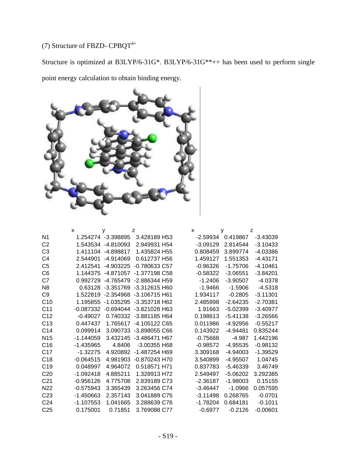(7) Structure of FBZD-  $\text{CPBQT}^{4+}$ 



|                 | x           | у                  | z                          | x          | ٧          | z          |
|-----------------|-------------|--------------------|----------------------------|------------|------------|------------|
| N <sub>1</sub>  |             | 1.254274 -3.398895 | 3.428189 H53               | $-2.59934$ | 0.419867   | $-3.43039$ |
| C <sub>2</sub>  | 1.543534    | -4.810093          | 2.949931 H54               | $-3.09129$ | 2.814544   | $-3.10433$ |
| C <sub>3</sub>  | 1.411104    | $-4.898817$        | 1.435824 H55               | 0.808459   | 3.899774   | -4.03386   |
| C <sub>4</sub>  | 2.544901    | -4.914069          | 0.612737 H56               | 1.459127   | 1.551353   | $-4.43171$ |
| C <sub>5</sub>  | 2.412541    | -4.903225          | -0.780633 C57              | $-0.96326$ | $-1.75706$ | $-4.10461$ |
| C <sub>6</sub>  | 1.144375    | $-4.871057$        | -1.377198 C58              | $-0.58322$ | $-3.06551$ | $-3.84201$ |
| C7              | 0.992729    |                    | -4.765479 -2.886344 H59    | $-1.2406$  | $-3.90507$ | $-4.0378$  |
| N <sub>8</sub>  | 0.63128     |                    | -3.351769 -3.312615 H60    | -1.9466    | $-1.5906$  | $-4.5318$  |
| C <sub>9</sub>  | 1.522819    |                    | -2.354968 -3.106715 H61    | 1.934117   | $-0.2805$  | $-3.11301$ |
| C10             | 1.195855    |                    | -1.035295 -3.353718 H62    | 2.485998   | $-2.64235$ | $-2.70381$ |
| C <sub>11</sub> | $-0.087332$ |                    | $-0.694044 - 3.821028$ H63 | 1.91663    | -5.02399   | $-3.40977$ |
| C12             | $-0.49027$  |                    | 0.740332 -3.881185 H64     | 0.198613   | $-5.41138$ | $-3.26566$ |
| C13             | 0.447437    |                    | 1.765617 -4.105122 C65     | 0.011986   | -4.92956   | $-0.55217$ |
| C <sub>14</sub> | 0.099914    |                    | 3.090733 -3.898055 C66     | 0.143922   | -4.94481   | 0.835244   |
| N <sub>15</sub> | $-1.144059$ |                    | 3.432145 -3.486471 H67     | $-0.75668$ | -4.987     | 1.442196   |
| C16             | -1.435965   | 4.8406             | -3.00355 H68               | $-0.98572$ | -4.95535   | $-0.98132$ |
| C <sub>17</sub> | $-1.32275$  | 4.920892           | -1.487254 H69              | 3.309168   | -4.94003   | $-1.39529$ |
| C <sub>18</sub> | $-0.064515$ | 4.981903           | -0.870243 H70              | 3.540899   | -4.95507   | 1.04745    |
| C <sub>19</sub> | 0.048997    | 4.964072           | 0.518571 H71               | 0.837783   | -5.46339   | 3.46749    |
| C <sub>20</sub> | $-1.092418$ | 4.885211           | 1.328913 H72               | 2.549497   | $-5.06202$ | 3.292385   |
| C <sub>21</sub> | $-0.956126$ | 4.775708           | 2.839189 C73               | $-2.36187$ | $-1.98003$ | 0.15155    |
| N22             | $-0.575943$ | 3.365439           | 3.263456 C74               | $-3.46447$ | $-1.0966$  | 0.057595   |
| C <sub>23</sub> | $-1.450663$ | 2.357143           | 3.041889 C75               | $-3.11498$ | 0.268765   | $-0.0701$  |
| C <sub>24</sub> | $-1.107553$ | 1.041665           | 3.288639 C76               | $-1.78204$ | 0.684181   | $-0.1011$  |
| C <sub>25</sub> | 0.175001    | 0.71851            | 3.769088 C77               | $-0.6977$  | $-0.2126$  | $-0.00601$ |